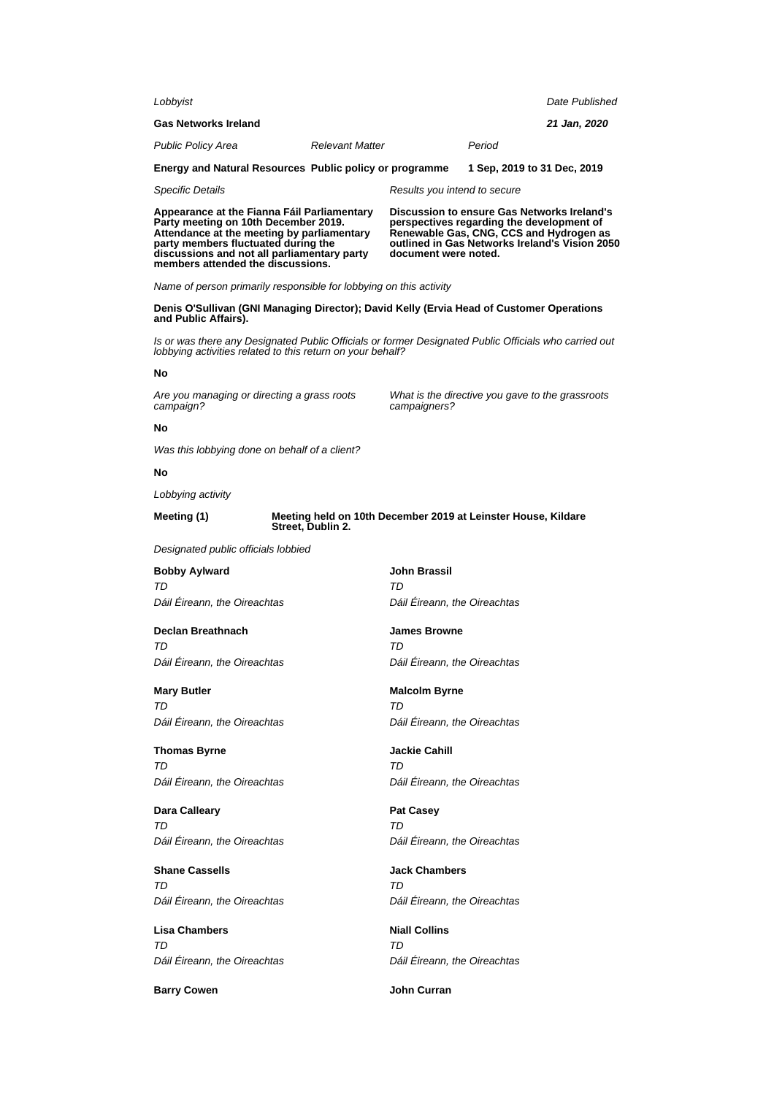| Lobbyist                                                                                                                                                                                                                                                     | Date Published                                                                                                                                                                                                |  |  |
|--------------------------------------------------------------------------------------------------------------------------------------------------------------------------------------------------------------------------------------------------------------|---------------------------------------------------------------------------------------------------------------------------------------------------------------------------------------------------------------|--|--|
| <b>Gas Networks Ireland</b>                                                                                                                                                                                                                                  | 21 Jan, 2020                                                                                                                                                                                                  |  |  |
| <b>Relevant Matter</b><br>Public Policy Area                                                                                                                                                                                                                 | Period                                                                                                                                                                                                        |  |  |
| Energy and Natural Resources Public policy or programme                                                                                                                                                                                                      | 1 Sep, 2019 to 31 Dec, 2019                                                                                                                                                                                   |  |  |
| <b>Specific Details</b>                                                                                                                                                                                                                                      | Results you intend to secure                                                                                                                                                                                  |  |  |
| Appearance at the Fianna Fáil Parliamentary<br>Party meeting on 10th December 2019.<br>Attendance at the meeting by parliamentary<br>party members fluctuated during the<br>discussions and not all parliamentary party<br>members attended the discussions. | Discussion to ensure Gas Networks Ireland's<br>perspectives regarding the development of<br>Renewable Gas, CNG, CCS and Hydrogen as<br>outlined in Gas Networks Ireland's Vision 2050<br>document were noted. |  |  |
| Name of person primarily responsible for lobbying on this activity                                                                                                                                                                                           |                                                                                                                                                                                                               |  |  |
| and Public Affairs).                                                                                                                                                                                                                                         | Denis O'Sullivan (GNI Managing Director); David Kelly (Ervia Head of Customer Operations                                                                                                                      |  |  |
| lobbying activities related to this return on your behalf?                                                                                                                                                                                                   | Is or was there any Designated Public Officials or former Designated Public Officials who carried out                                                                                                         |  |  |
| No                                                                                                                                                                                                                                                           |                                                                                                                                                                                                               |  |  |
| Are you managing or directing a grass roots<br>campaign?                                                                                                                                                                                                     | What is the directive you gave to the grassroots<br>campaigners?                                                                                                                                              |  |  |
| No                                                                                                                                                                                                                                                           |                                                                                                                                                                                                               |  |  |
| Was this lobbying done on behalf of a client?                                                                                                                                                                                                                |                                                                                                                                                                                                               |  |  |
| No                                                                                                                                                                                                                                                           |                                                                                                                                                                                                               |  |  |
| Lobbying activity                                                                                                                                                                                                                                            |                                                                                                                                                                                                               |  |  |
| Meeting (1)<br>Street, Dublin 2.                                                                                                                                                                                                                             | Meeting held on 10th December 2019 at Leinster House, Kildare                                                                                                                                                 |  |  |
| Designated public officials lobbied                                                                                                                                                                                                                          |                                                                                                                                                                                                               |  |  |
| <b>Bobby Aylward</b>                                                                                                                                                                                                                                         | John Brassil                                                                                                                                                                                                  |  |  |
| TD<br>Dáil Eireann, the Oireachtas                                                                                                                                                                                                                           | TD<br>Dáil Eireann, the Oireachtas                                                                                                                                                                            |  |  |
| Declan Breathnach<br>TD                                                                                                                                                                                                                                      | <b>James Browne</b><br>TD                                                                                                                                                                                     |  |  |
| Dáil Éireann, the Oireachtas                                                                                                                                                                                                                                 | Dáil Éireann, the Oireachtas                                                                                                                                                                                  |  |  |
| <b>Mary Butler</b>                                                                                                                                                                                                                                           | <b>Malcolm Byrne</b>                                                                                                                                                                                          |  |  |
| TD<br>Dáil Éireann, the Oireachtas                                                                                                                                                                                                                           | TD<br>Dáil Éireann, the Oireachtas                                                                                                                                                                            |  |  |
|                                                                                                                                                                                                                                                              |                                                                                                                                                                                                               |  |  |
| <b>Thomas Byrne</b><br>TD                                                                                                                                                                                                                                    | <b>Jackie Cahill</b><br>TD                                                                                                                                                                                    |  |  |
| Dáil Éireann, the Oireachtas                                                                                                                                                                                                                                 | Dáil Éireann, the Oireachtas                                                                                                                                                                                  |  |  |
| <b>Dara Calleary</b>                                                                                                                                                                                                                                         | <b>Pat Casey</b>                                                                                                                                                                                              |  |  |
| TD<br>Dáil Éireann, the Oireachtas                                                                                                                                                                                                                           | TD<br>Dáil Éireann, the Oireachtas                                                                                                                                                                            |  |  |
| <b>Shane Cassells</b>                                                                                                                                                                                                                                        | <b>Jack Chambers</b>                                                                                                                                                                                          |  |  |
| TD<br>Dáil Éireann, the Oireachtas                                                                                                                                                                                                                           | TD<br>Dáil Éireann, the Oireachtas                                                                                                                                                                            |  |  |
| <b>Lisa Chambers</b><br>TD                                                                                                                                                                                                                                   | <b>Niall Collins</b><br>TD                                                                                                                                                                                    |  |  |
| Dáil Éireann, the Oireachtas                                                                                                                                                                                                                                 | Dáil Éireann, the Oireachtas                                                                                                                                                                                  |  |  |
| <b>Barry Cowen</b>                                                                                                                                                                                                                                           | John Curran                                                                                                                                                                                                   |  |  |
|                                                                                                                                                                                                                                                              |                                                                                                                                                                                                               |  |  |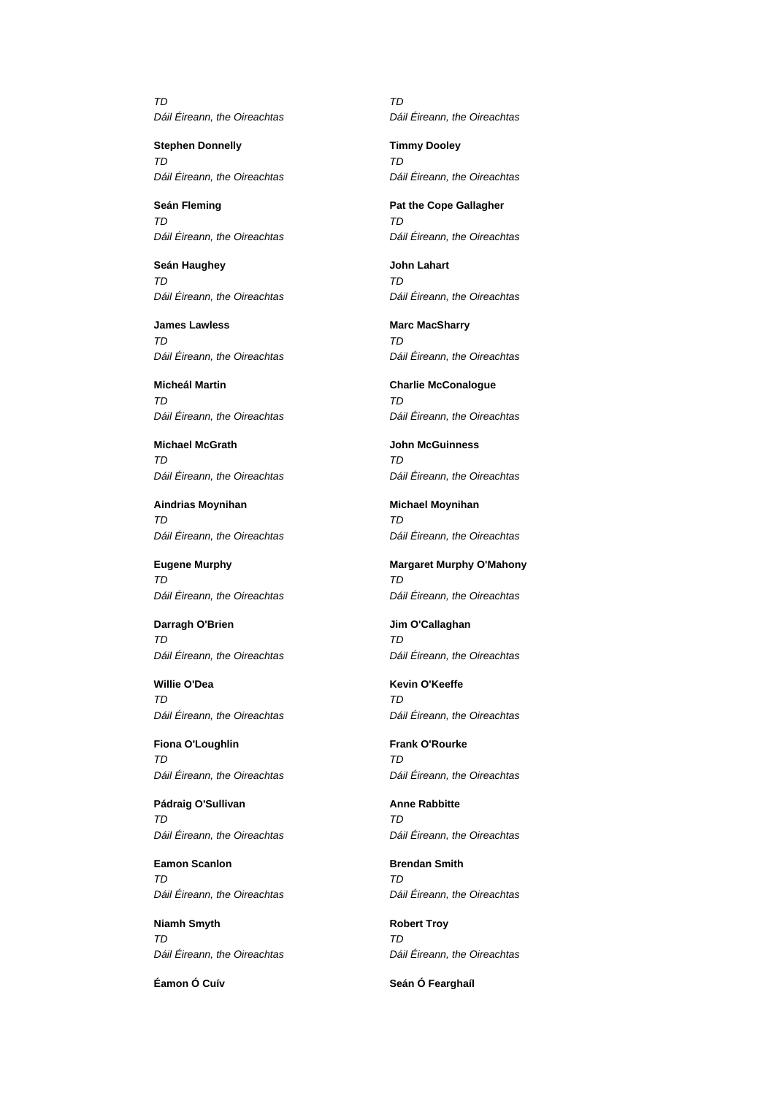TD Dáil Éireann, the Oireachtas

**Stephen Donnelly** TD Dáil Éireann, the Oireachtas

**Seán Fleming** TD Dáil Éireann, the Oireachtas

**Seán Haughey** TD Dáil Éireann, the Oireachtas

**James Lawless** TD Dáil Éireann, the Oireachtas

**Micheál Martin** TD Dáil Éireann, the Oireachtas

**Michael McGrath** TD Dáil Éireann, the Oireachtas

**Aindrias Moynihan** TD Dáil Éireann, the Oireachtas

**Eugene Murphy** TD Dáil Éireann, the Oireachtas

**Darragh O'Brien** TD Dáil Éireann, the Oireachtas

**Willie O'Dea** TD Dáil Éireann, the Oireachtas

**Fiona O'Loughlin** TD Dáil Éireann, the Oireachtas

**Pádraig O'Sullivan**  $T<sub>D</sub>$ Dáil Éireann, the Oireachtas

**Eamon Scanlon** TD Dáil Éireann, the Oireachtas

**Niamh Smyth** TD Dáil Éireann, the Oireachtas

**Éamon Ó Cuív Seán Ó Fearghaíl**

TD Dáil Éireann, the Oireachtas

**Timmy Dooley** TD Dáil Éireann, the Oireachtas

**Pat the Cope Gallagher** TD Dáil Éireann, the Oireachtas

**John Lahart** TD Dáil Éireann, the Oireachtas

**Marc MacSharry** TD Dáil Éireann, the Oireachtas

**Charlie McConalogue** TD Dáil Éireann, the Oireachtas

**John McGuinness** TD Dáil Éireann, the Oireachtas

**Michael Moynihan**  $T<sub>D</sub>$ Dáil Éireann, the Oireachtas

**Margaret Murphy O'Mahony** TD Dáil Éireann, the Oireachtas

**Jim O'Callaghan** TD Dáil Éireann, the Oireachtas

**Kevin O'Keeffe** TD Dáil Éireann, the Oireachtas

**Frank O'Rourke** TD Dáil Éireann, the Oireachtas

**Anne Rabbitte**  $T<sub>D</sub>$ Dáil Éireann, the Oireachtas

**Brendan Smith** TD Dáil Éireann, the Oireachtas

**Robert Troy** TD Dáil Éireann, the Oireachtas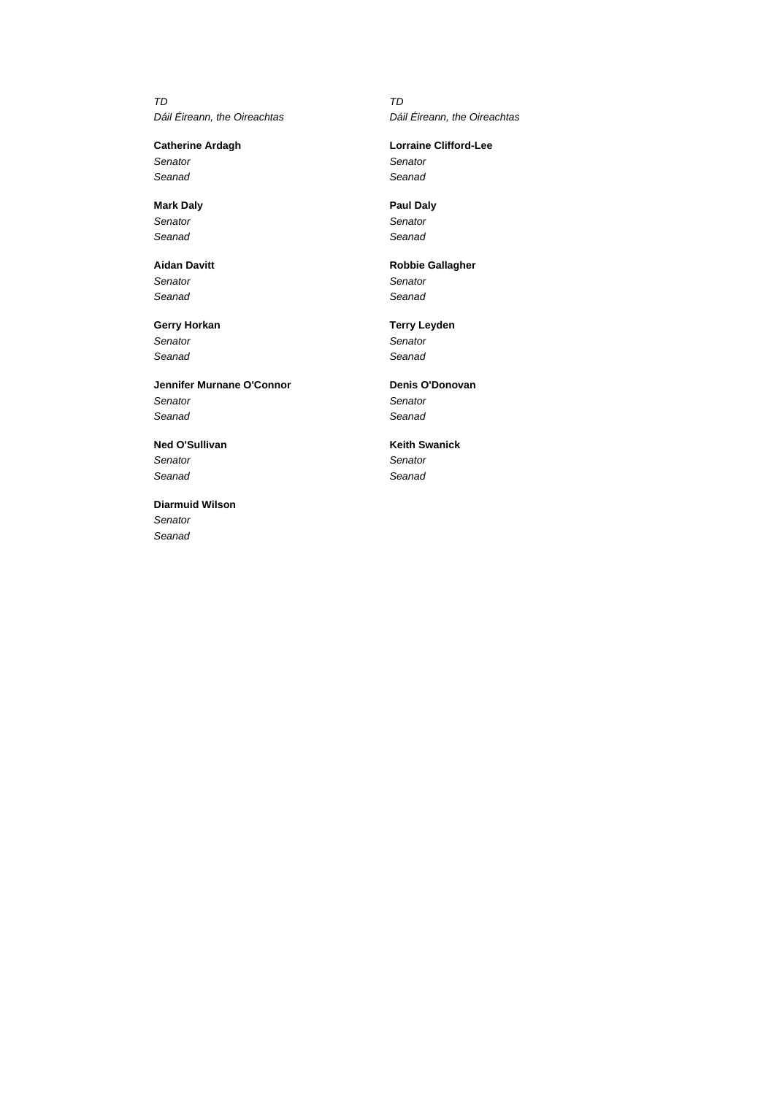TD Dáil Éireann, the Oireachtas

**Catherine Ardagh Senator** Seanad

**Mark Daly Senator** Seanad

**Aidan Davitt Senator** Seanad

**Gerry Horkan** Senator Seanad

**Jennifer Murnane O'Connor Senator** Seanad

**Ned O'Sullivan Senator** Seanad

**Diarmuid Wilson** Senator Seanad

TD Dáil Éireann, the Oireachtas

### **Lorraine Clifford-Lee**

**Senator** Seanad

**Paul Daly Senator** Seanad

**Robbie Gallagher Senator** Seanad

**Terry Leyden Senator** Seanad

**Denis O'Donovan Senator** Seanad

**Keith Swanick Senator** Seanad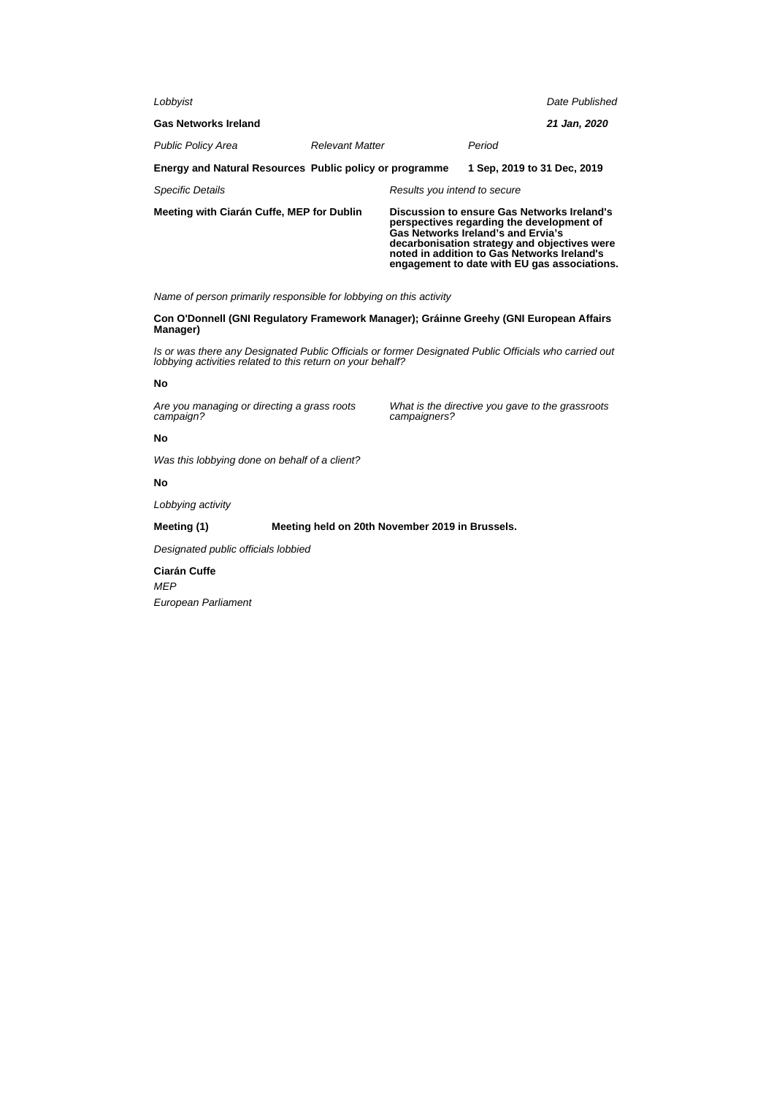| Lobbyist                                                |                        |                                                                                                                                                                                                                                                                               |                             | Date Published |
|---------------------------------------------------------|------------------------|-------------------------------------------------------------------------------------------------------------------------------------------------------------------------------------------------------------------------------------------------------------------------------|-----------------------------|----------------|
| <b>Gas Networks Ireland</b>                             |                        |                                                                                                                                                                                                                                                                               |                             | 21 Jan, 2020   |
| <b>Public Policy Area</b>                               | <b>Relevant Matter</b> |                                                                                                                                                                                                                                                                               | Period                      |                |
| Energy and Natural Resources Public policy or programme |                        |                                                                                                                                                                                                                                                                               | 1 Sep. 2019 to 31 Dec. 2019 |                |
| <b>Specific Details</b>                                 |                        | Results you intend to secure                                                                                                                                                                                                                                                  |                             |                |
| Meeting with Ciarán Cuffe, MEP for Dublin               |                        | Discussion to ensure Gas Networks Ireland's<br>perspectives regarding the development of<br>Gas Networks Ireland's and Ervia's<br>decarbonisation strategy and objectives were<br>noted in addition to Gas Networks Ireland's<br>engagement to date with EU gas associations. |                             |                |

Name of person primarily responsible for lobbying on this activity

**Con O'Donnell (GNI Regulatory Framework Manager); Gráinne Greehy (GNI European Affairs Manager)**

Is or was there any Designated Public Officials or former Designated Public Officials who carried out lobbying activities related to this return on your behalf?

#### **No**

Are you managing or directing a grass roots campaign?

What is the directive you gave to the grassroots campaigners?

### **No**

Was this lobbying done on behalf of a client?

### **No**

Lobbying activity

**Meeting (1) Meeting held on 20th November 2019 in Brussels.**

Designated public officials lobbied

**Ciarán Cuffe** MEP European Parliament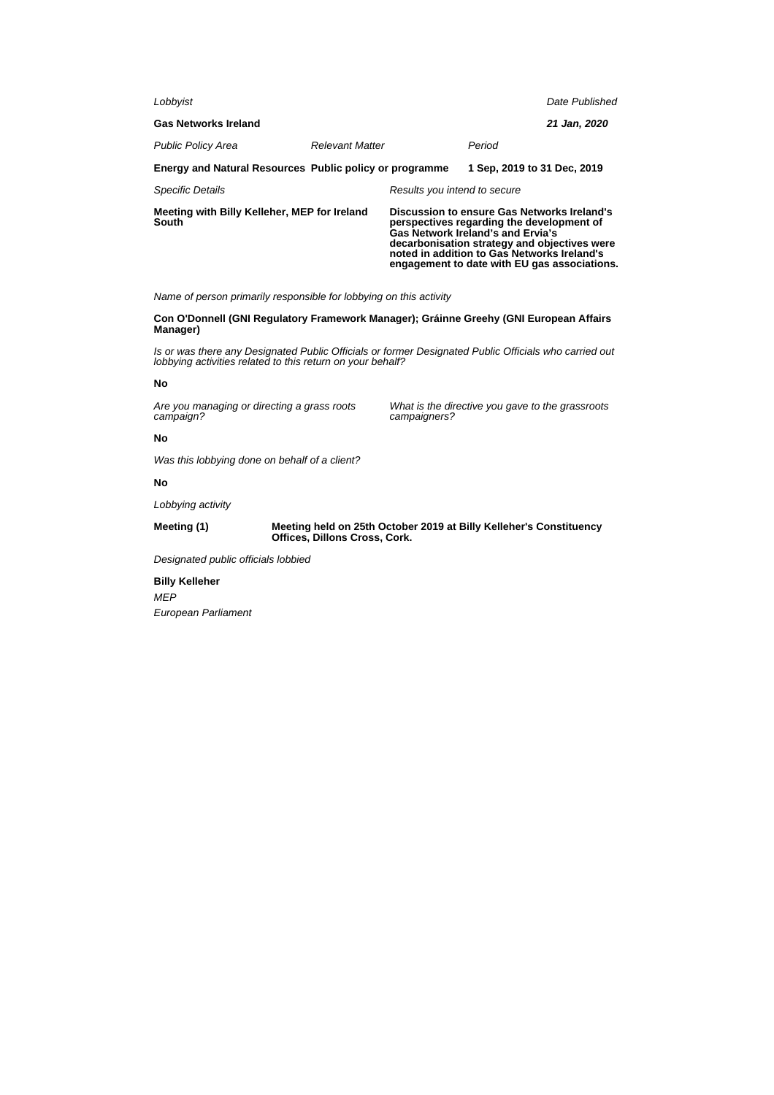| Lobbyist                                                       |                        |                                                                                                                                                                                                                                                                              |                             | Date Published |
|----------------------------------------------------------------|------------------------|------------------------------------------------------------------------------------------------------------------------------------------------------------------------------------------------------------------------------------------------------------------------------|-----------------------------|----------------|
| <b>Gas Networks Ireland</b>                                    |                        |                                                                                                                                                                                                                                                                              |                             | 21 Jan, 2020   |
| <b>Public Policy Area</b>                                      | <b>Relevant Matter</b> |                                                                                                                                                                                                                                                                              | Period                      |                |
| <b>Energy and Natural Resources Public policy or programme</b> |                        |                                                                                                                                                                                                                                                                              | 1 Sep. 2019 to 31 Dec. 2019 |                |
| <b>Specific Details</b>                                        |                        | Results you intend to secure                                                                                                                                                                                                                                                 |                             |                |
| Meeting with Billy Kelleher, MEP for Ireland<br>South          |                        | Discussion to ensure Gas Networks Ireland's<br>perspectives regarding the development of<br>Gas Network Ireland's and Ervia's<br>decarbonisation strategy and objectives were<br>noted in addition to Gas Networks Ireland's<br>engagement to date with EU gas associations. |                             |                |

Name of person primarily responsible for lobbying on this activity

**Con O'Donnell (GNI Regulatory Framework Manager); Gráinne Greehy (GNI European Affairs Manager)**

Is or was there any Designated Public Officials or former Designated Public Officials who carried out lobbying activities related to this return on your behalf?

#### **No**

Are you managing or directing a grass roots campaign?

What is the directive you gave to the grassroots campaigners?

#### **No**

Was this lobbying done on behalf of a client?

#### **No**

Lobbying activity

**Meeting (1) Meeting held on 25th October 2019 at Billy Kelleher's Constituency Offices, Dillons Cross, Cork.**

Designated public officials lobbied

**Billy Kelleher** MEP European Parliament